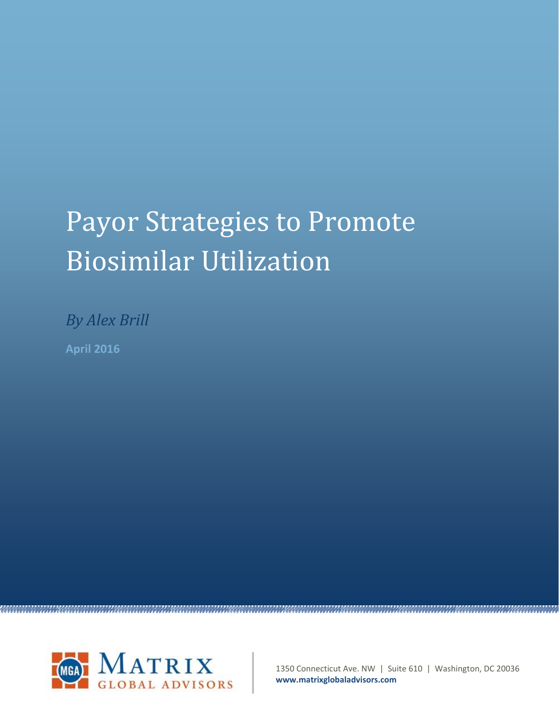# Payor Strategies to Promote Biosimilar Utilization

*By Alex Brill* **April 2016**



1350 Connecticut Ave. NW | Suite 610 | Washington, DC 20036 **www.matrixglobaladvisors.com**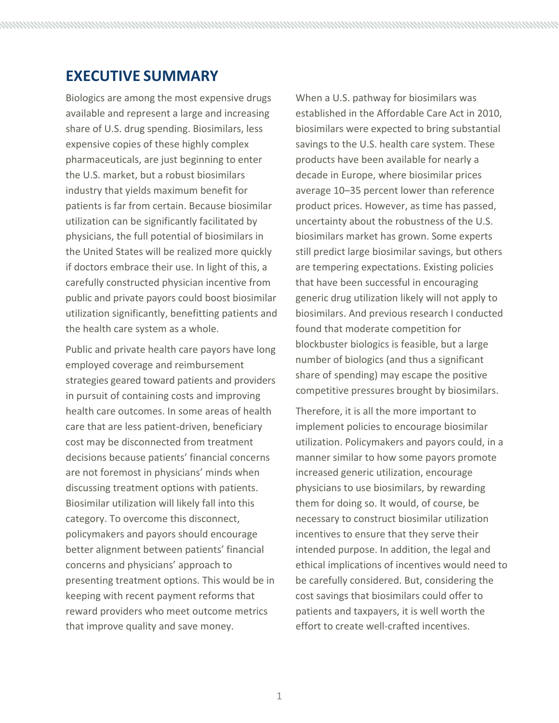# **EXECUTIVE SUMMARY**

Biologics are among the most expensive drugs available and represent a large and increasing share of U.S. drug spending. Biosimilars, less expensive copies of these highly complex pharmaceuticals, are just beginning to enter the U.S. market, but a robust biosimilars industry that yields maximum benefit for patients is far from certain. Because biosimilar utilization can be significantly facilitated by physicians, the full potential of biosimilars in the United States will be realized more quickly if doctors embrace their use. In light of this, a carefully constructed physician incentive from public and private payors could boost biosimilar utilization significantly, benefitting patients and the health care system as a whole.

Public and private health care payors have long employed coverage and reimbursement strategies geared toward patients and providers in pursuit of containing costs and improving health care outcomes. In some areas of health care that are less patient‐driven, beneficiary cost may be disconnected from treatment decisions because patients' financial concerns are not foremost in physicians' minds when discussing treatment options with patients. Biosimilar utilization will likely fall into this category. To overcome this disconnect, policymakers and payors should encourage better alignment between patients' financial concerns and physicians' approach to presenting treatment options. This would be in keeping with recent payment reforms that reward providers who meet outcome metrics that improve quality and save money.

When a U.S. pathway for biosimilars was established in the Affordable Care Act in 2010, biosimilars were expected to bring substantial savings to the U.S. health care system. These products have been available for nearly a decade in Europe, where biosimilar prices average 10–35 percent lower than reference product prices. However, as time has passed, uncertainty about the robustness of the U.S. biosimilars market has grown. Some experts still predict large biosimilar savings, but others are tempering expectations. Existing policies that have been successful in encouraging generic drug utilization likely will not apply to biosimilars. And previous research I conducted found that moderate competition for blockbuster biologics is feasible, but a large number of biologics (and thus a significant share of spending) may escape the positive competitive pressures brought by biosimilars.

Therefore, it is all the more important to implement policies to encourage biosimilar utilization. Policymakers and payors could, in a manner similar to how some payors promote increased generic utilization, encourage physicians to use biosimilars, by rewarding them for doing so. It would, of course, be necessary to construct biosimilar utilization incentives to ensure that they serve their intended purpose. In addition, the legal and ethical implications of incentives would need to be carefully considered. But, considering the cost savings that biosimilars could offer to patients and taxpayers, it is well worth the effort to create well‐crafted incentives.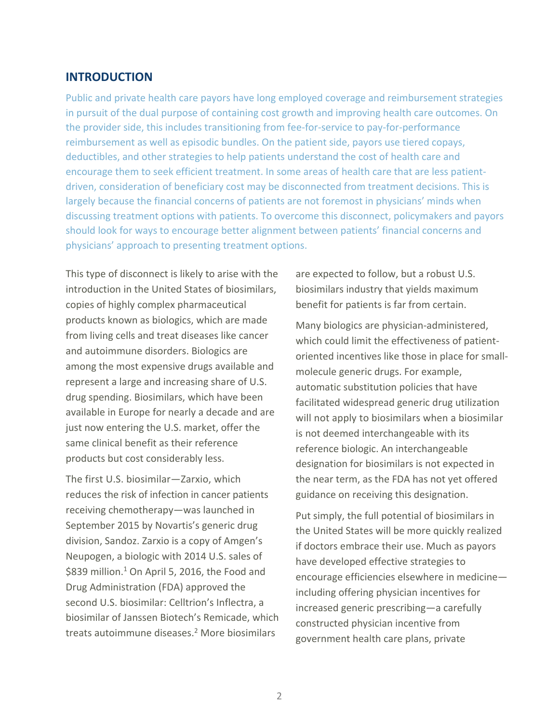## **INTRODUCTION**

Public and private health care payors have long employed coverage and reimbursement strategies in pursuit of the dual purpose of containing cost growth and improving health care outcomes. On the provider side, this includes transitioning from fee-for-service to pay-for-performance reimbursement as well as episodic bundles. On the patient side, payors use tiered copays, deductibles, and other strategies to help patients understand the cost of health care and encourage them to seek efficient treatment. In some areas of health care that are less patientdriven, consideration of beneficiary cost may be disconnected from treatment decisions. This is largely because the financial concerns of patients are not foremost in physicians' minds when discussing treatment options with patients. To overcome this disconnect, policymakers and payors should look for ways to encourage better alignment between patients' financial concerns and physicians' approach to presenting treatment options.

This type of disconnect is likely to arise with the introduction in the United States of biosimilars, copies of highly complex pharmaceutical products known as biologics, which are made from living cells and treat diseases like cancer and autoimmune disorders. Biologics are among the most expensive drugs available and represent a large and increasing share of U.S. drug spending. Biosimilars, which have been available in Europe for nearly a decade and are just now entering the U.S. market, offer the same clinical benefit as their reference products but cost considerably less.

The first U.S. biosimilar—Zarxio, which reduces the risk of infection in cancer patients receiving chemotherapy—was launched in September 2015 by Novartis's generic drug division, Sandoz. Zarxio is a copy of Amgen's Neupogen, a biologic with 2014 U.S. sales of \$839 million.<sup>1</sup> On April 5, 2016, the Food and Drug Administration (FDA) approved the second U.S. biosimilar: Celltrion's Inflectra, a biosimilar of Janssen Biotech's Remicade, which treats autoimmune diseases.<sup>2</sup> More biosimilars

are expected to follow, but a robust U.S. biosimilars industry that yields maximum benefit for patients is far from certain.

Many biologics are physician‐administered, which could limit the effectiveness of patient‐ oriented incentives like those in place for small‐ molecule generic drugs. For example, automatic substitution policies that have facilitated widespread generic drug utilization will not apply to biosimilars when a biosimilar is not deemed interchangeable with its reference biologic. An interchangeable designation for biosimilars is not expected in the near term, as the FDA has not yet offered guidance on receiving this designation.

Put simply, the full potential of biosimilars in the United States will be more quickly realized if doctors embrace their use. Much as payors have developed effective strategies to encourage efficiencies elsewhere in medicine including offering physician incentives for increased generic prescribing—a carefully constructed physician incentive from government health care plans, private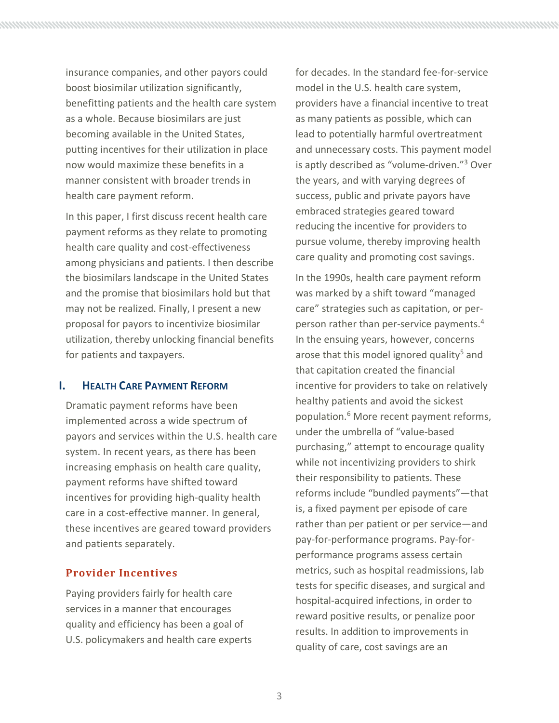insurance companies, and other payors could boost biosimilar utilization significantly, benefitting patients and the health care system as a whole. Because biosimilars are just becoming available in the United States, putting incentives for their utilization in place now would maximize these benefits in a manner consistent with broader trends in health care payment reform.

In this paper, I first discuss recent health care payment reforms as they relate to promoting health care quality and cost-effectiveness among physicians and patients. I then describe the biosimilars landscape in the United States and the promise that biosimilars hold but that may not be realized. Finally, I present a new proposal for payors to incentivize biosimilar utilization, thereby unlocking financial benefits for patients and taxpayers.

## **I. HEALTH CARE PAYMENT REFORM**

Dramatic payment reforms have been implemented across a wide spectrum of payors and services within the U.S. health care system. In recent years, as there has been increasing emphasis on health care quality, payment reforms have shifted toward incentives for providing high‐quality health care in a cost‐effective manner. In general, these incentives are geared toward providers and patients separately.

## **Provider Incentives**

Paying providers fairly for health care services in a manner that encourages quality and efficiency has been a goal of U.S. policymakers and health care experts for decades. In the standard fee-for-service model in the U.S. health care system, providers have a financial incentive to treat as many patients as possible, which can lead to potentially harmful overtreatment and unnecessary costs. This payment model is aptly described as "volume-driven."<sup>3</sup> Over the years, and with varying degrees of success, public and private payors have embraced strategies geared toward reducing the incentive for providers to pursue volume, thereby improving health care quality and promoting cost savings.

In the 1990s, health care payment reform was marked by a shift toward "managed care" strategies such as capitation, or per‐ person rather than per-service payments.<sup>4</sup> In the ensuing years, however, concerns arose that this model ignored quality<sup>5</sup> and that capitation created the financial incentive for providers to take on relatively healthy patients and avoid the sickest population.6 More recent payment reforms, under the umbrella of "value‐based purchasing," attempt to encourage quality while not incentivizing providers to shirk their responsibility to patients. These reforms include "bundled payments"—that is, a fixed payment per episode of care rather than per patient or per service—and pay‐for‐performance programs. Pay‐for‐ performance programs assess certain metrics, such as hospital readmissions, lab tests for specific diseases, and surgical and hospital‐acquired infections, in order to reward positive results, or penalize poor results. In addition to improvements in quality of care, cost savings are an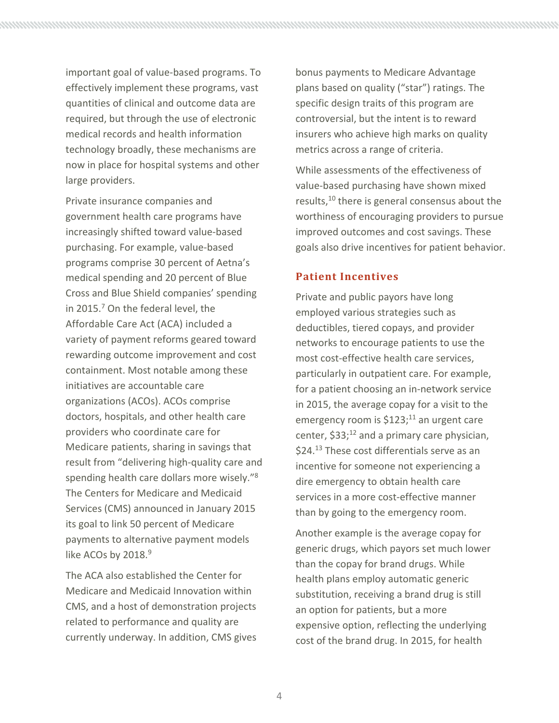important goal of value‐based programs. To effectively implement these programs, vast quantities of clinical and outcome data are required, but through the use of electronic medical records and health information technology broadly, these mechanisms are now in place for hospital systems and other large providers.

Private insurance companies and government health care programs have increasingly shifted toward value‐based purchasing. For example, value‐based programs comprise 30 percent of Aetna's medical spending and 20 percent of Blue Cross and Blue Shield companies' spending in 2015.<sup>7</sup> On the federal level, the Affordable Care Act (ACA) included a variety of payment reforms geared toward rewarding outcome improvement and cost containment. Most notable among these initiatives are accountable care organizations (ACOs). ACOs comprise doctors, hospitals, and other health care providers who coordinate care for Medicare patients, sharing in savings that result from "delivering high‐quality care and spending health care dollars more wisely."8 The Centers for Medicare and Medicaid Services (CMS) announced in January 2015 its goal to link 50 percent of Medicare payments to alternative payment models like ACOs by 2018.<sup>9</sup>

The ACA also established the Center for Medicare and Medicaid Innovation within CMS, and a host of demonstration projects related to performance and quality are currently underway. In addition, CMS gives bonus payments to Medicare Advantage plans based on quality ("star") ratings. The specific design traits of this program are controversial, but the intent is to reward insurers who achieve high marks on quality metrics across a range of criteria.

While assessments of the effectiveness of value‐based purchasing have shown mixed results,<sup>10</sup> there is general consensus about the worthiness of encouraging providers to pursue improved outcomes and cost savings. These goals also drive incentives for patient behavior.

#### **Patient Incentives**

Private and public payors have long employed various strategies such as deductibles, tiered copays, and provider networks to encourage patients to use the most cost‐effective health care services, particularly in outpatient care. For example, for a patient choosing an in‐network service in 2015, the average copay for a visit to the emergency room is  $$123;^{11}$  an urgent care center,  $$33;^{12}$  and a primary care physician, \$24.<sup>13</sup> These cost differentials serve as an incentive for someone not experiencing a dire emergency to obtain health care services in a more cost-effective manner than by going to the emergency room.

Another example is the average copay for generic drugs, which payors set much lower than the copay for brand drugs. While health plans employ automatic generic substitution, receiving a brand drug is still an option for patients, but a more expensive option, reflecting the underlying cost of the brand drug. In 2015, for health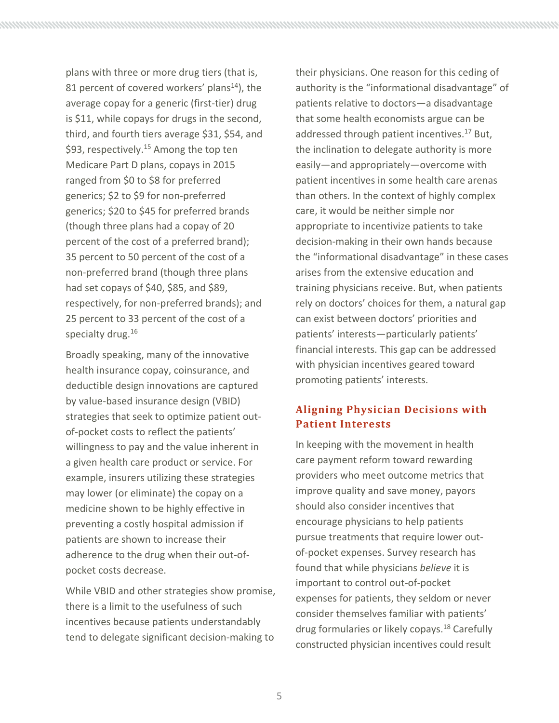plans with three or more drug tiers (that is, 81 percent of covered workers' plans<sup>14</sup>), the average copay for a generic (first‐tier) drug is \$11, while copays for drugs in the second, third, and fourth tiers average \$31, \$54, and \$93, respectively.<sup>15</sup> Among the top ten Medicare Part D plans, copays in 2015 ranged from \$0 to \$8 for preferred generics; \$2 to \$9 for non‐preferred generics; \$20 to \$45 for preferred brands (though three plans had a copay of 20 percent of the cost of a preferred brand); 35 percent to 50 percent of the cost of a non‐preferred brand (though three plans had set copays of \$40, \$85, and \$89, respectively, for non‐preferred brands); and 25 percent to 33 percent of the cost of a specialty drug.<sup>16</sup>

Broadly speaking, many of the innovative health insurance copay, coinsurance, and deductible design innovations are captured by value‐based insurance design (VBID) strategies that seek to optimize patient out‐ of‐pocket costs to reflect the patients' willingness to pay and the value inherent in a given health care product or service. For example, insurers utilizing these strategies may lower (or eliminate) the copay on a medicine shown to be highly effective in preventing a costly hospital admission if patients are shown to increase their adherence to the drug when their out‐of‐ pocket costs decrease.

While VBID and other strategies show promise, there is a limit to the usefulness of such incentives because patients understandably tend to delegate significant decision‐making to

their physicians. One reason for this ceding of authority is the "informational disadvantage" of patients relative to doctors—a disadvantage that some health economists argue can be addressed through patient incentives.<sup>17</sup> But, the inclination to delegate authority is more easily—and appropriately—overcome with patient incentives in some health care arenas than others. In the context of highly complex care, it would be neither simple nor appropriate to incentivize patients to take decision‐making in their own hands because the "informational disadvantage" in these cases arises from the extensive education and training physicians receive. But, when patients rely on doctors' choices for them, a natural gap can exist between doctors' priorities and patients' interests—particularly patients' financial interests. This gap can be addressed with physician incentives geared toward promoting patients' interests.

## **Aligning Physician Decisions with Patient Interests**

In keeping with the movement in health care payment reform toward rewarding providers who meet outcome metrics that improve quality and save money, payors should also consider incentives that encourage physicians to help patients pursue treatments that require lower out‐ of‐pocket expenses. Survey research has found that while physicians *believe* it is important to control out‐of‐pocket expenses for patients, they seldom or never consider themselves familiar with patients' drug formularies or likely copays.18 Carefully constructed physician incentives could result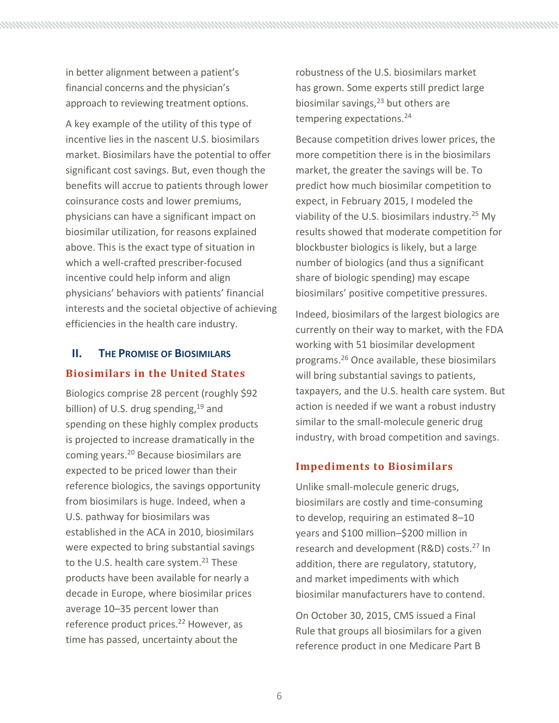6

in better alignment between a patient's financial concerns and the physician's approach to reviewing treatment options.

A key example of the utility of this type of incentive lies in the nascent U.S. biosimilars market. Biosimilars have the potential to offer significant cost savings. But, even though the benefits will accrue to patients through lower coinsurance costs and lower premiums, physicians can have a significant impact on biosimilar utilization, for reasons explained above. This is the exact type of situation in which a well-crafted prescriber-focused incentive could help inform and align physicians' behaviors with patients' financial interests and the societal objective of achieving efficiencies in the health care industry.

# **II. THE PROMISE OF BIOSIMILARS Biosimilars in the United States**

Biologics comprise 28 percent (roughly \$92 billion) of U.S. drug spending,  $19$  and spending on these highly complex products is projected to increase dramatically in the coming years.20 Because biosimilars are expected to be priced lower than their reference biologics, the savings opportunity from biosimilars is huge. Indeed, when a U.S. pathway for biosimilars was established in the ACA in 2010, biosimilars were expected to bring substantial savings to the U.S. health care system.<sup>21</sup> These products have been available for nearly a decade in Europe, where biosimilar prices average 10–35 percent lower than reference product prices.<sup>22</sup> However, as time has passed, uncertainty about the

robustness of the U.S. biosimilars market has grown. Some experts still predict large biosimilar savings, $^{23}$  but others are tempering expectations.<sup>24</sup>

Because competition drives lower prices, the more competition there is in the biosimilars market, the greater the savings will be. To predict how much biosimilar competition to expect, in February 2015, I modeled the viability of the U.S. biosimilars industry.<sup>25</sup> My results showed that moderate competition for blockbuster biologics is likely, but a large number of biologics (and thus a significant share of biologic spending) may escape biosimilars' positive competitive pressures.

Indeed, biosimilars of the largest biologics are currently on their way to market, with the FDA working with 51 biosimilar development programs.26 Once available, these biosimilars will bring substantial savings to patients, taxpayers, and the U.S. health care system. But action is needed if we want a robust industry similar to the small‐molecule generic drug industry, with broad competition and savings.

## **Impediments to Biosimilars**

Unlike small‐molecule generic drugs, biosimilars are costly and time‐consuming to develop, requiring an estimated 8–10 years and \$100 million–\$200 million in research and development (R&D) costs.<sup>27</sup> In addition, there are regulatory, statutory, and market impediments with which biosimilar manufacturers have to contend.

On October 30, 2015, CMS issued a Final Rule that groups all biosimilars for a given reference product in one Medicare Part B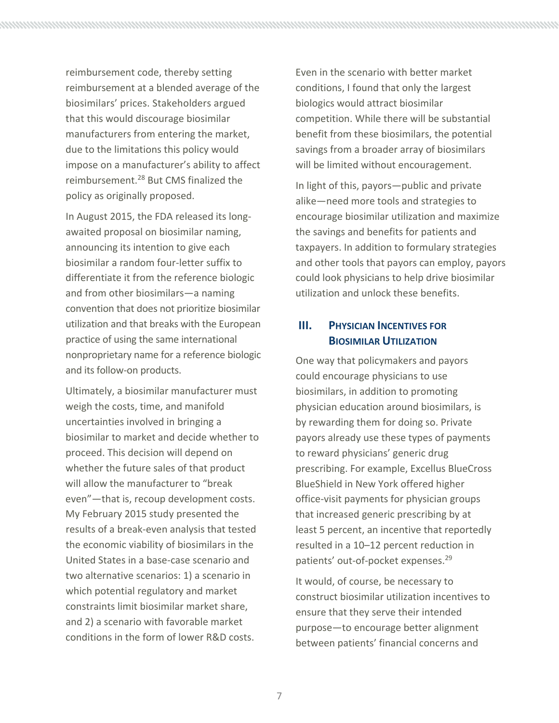reimbursement code, thereby setting reimbursement at a blended average of the biosimilars' prices. Stakeholders argued that this would discourage biosimilar manufacturers from entering the market, due to the limitations this policy would impose on a manufacturer's ability to affect reimbursement.28 But CMS finalized the policy as originally proposed.

In August 2015, the FDA released its long‐ awaited proposal on biosimilar naming, announcing its intention to give each biosimilar a random four‐letter suffix to differentiate it from the reference biologic and from other biosimilars—a naming convention that does not prioritize biosimilar utilization and that breaks with the European practice of using the same international nonproprietary name for a reference biologic and its follow‐on products.

Ultimately, a biosimilar manufacturer must weigh the costs, time, and manifold uncertainties involved in bringing a biosimilar to market and decide whether to proceed. This decision will depend on whether the future sales of that product will allow the manufacturer to "break even"—that is, recoup development costs. My February 2015 study presented the results of a break‐even analysis that tested the economic viability of biosimilars in the United States in a base‐case scenario and two alternative scenarios: 1) a scenario in which potential regulatory and market constraints limit biosimilar market share, and 2) a scenario with favorable market conditions in the form of lower R&D costs.

Even in the scenario with better market conditions, I found that only the largest biologics would attract biosimilar competition. While there will be substantial benefit from these biosimilars, the potential savings from a broader array of biosimilars will be limited without encouragement.

In light of this, payors—public and private alike—need more tools and strategies to encourage biosimilar utilization and maximize the savings and benefits for patients and taxpayers. In addition to formulary strategies and other tools that payors can employ, payors could look physicians to help drive biosimilar utilization and unlock these benefits.

# **III. PHYSICIAN INCENTIVES FOR BIOSIMILAR UTILIZATION**

One way that policymakers and payors could encourage physicians to use biosimilars, in addition to promoting physician education around biosimilars, is by rewarding them for doing so. Private payors already use these types of payments to reward physicians' generic drug prescribing. For example, Excellus BlueCross BlueShield in New York offered higher office‐visit payments for physician groups that increased generic prescribing by at least 5 percent, an incentive that reportedly resulted in a 10–12 percent reduction in patients' out-of-pocket expenses.<sup>29</sup>

It would, of course, be necessary to construct biosimilar utilization incentives to ensure that they serve their intended purpose—to encourage better alignment between patients' financial concerns and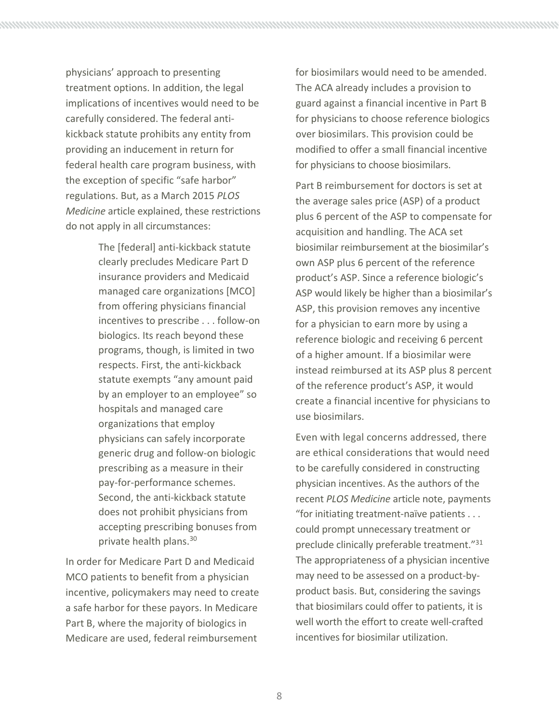physicians' approach to presenting treatment options. In addition, the legal implications of incentives would need to be carefully considered. The federal anti‐ kickback statute prohibits any entity from providing an inducement in return for federal health care program business, with the exception of specific "safe harbor" regulations. But, as a March 2015 *PLOS Medicine* article explained, these restrictions do not apply in all circumstances:

> The [federal] anti‐kickback statute clearly precludes Medicare Part D insurance providers and Medicaid managed care organizations [MCO] from offering physicians financial incentives to prescribe . . . follow‐on biologics. Its reach beyond these programs, though, is limited in two respects. First, the anti‐kickback statute exempts "any amount paid by an employer to an employee" so hospitals and managed care organizations that employ physicians can safely incorporate generic drug and follow‐on biologic prescribing as a measure in their pay‐for‐performance schemes. Second, the anti‐kickback statute does not prohibit physicians from accepting prescribing bonuses from private health plans.<sup>30</sup>

In order for Medicare Part D and Medicaid MCO patients to benefit from a physician incentive, policymakers may need to create a safe harbor for these payors. In Medicare Part B, where the majority of biologics in Medicare are used, federal reimbursement

for biosimilars would need to be amended. The ACA already includes a provision to guard against a financial incentive in Part B for physicians to choose reference biologics over biosimilars. This provision could be modified to offer a small financial incentive for physicians to choose biosimilars.

Part B reimbursement for doctors is set at the average sales price (ASP) of a product plus 6 percent of the ASP to compensate for acquisition and handling. The ACA set biosimilar reimbursement at the biosimilar's own ASP plus 6 percent of the reference product's ASP. Since a reference biologic's ASP would likely be higher than a biosimilar's ASP, this provision removes any incentive for a physician to earn more by using a reference biologic and receiving 6 percent of a higher amount. If a biosimilar were instead reimbursed at its ASP plus 8 percent of the reference product's ASP, it would create a financial incentive for physicians to use biosimilars.

Even with legal concerns addressed, there are ethical considerations that would need to be carefully considered in constructing physician incentives. As the authors of the recent *PLOS Medicine* article note, payments "for initiating treatment‐naïve patients . . . could prompt unnecessary treatment or preclude clinically preferable treatment."31 The appropriateness of a physician incentive may need to be assessed on a product‐by‐ product basis. But, considering the savings that biosimilars could offer to patients, it is well worth the effort to create well-crafted incentives for biosimilar utilization.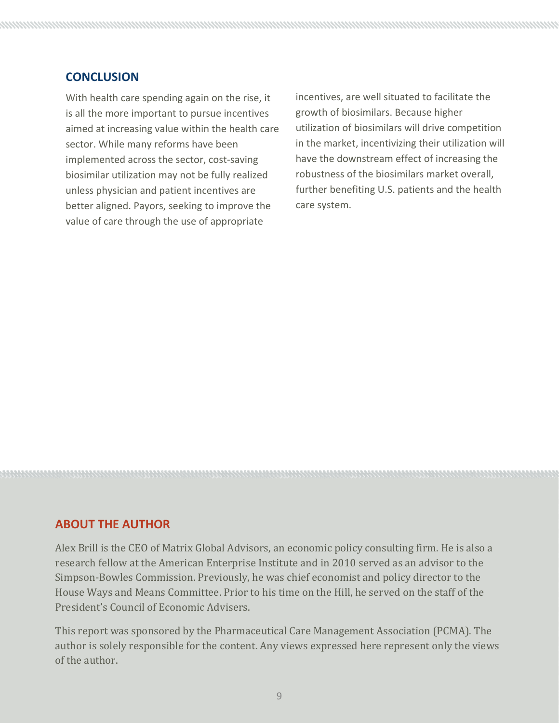## **CONCLUSION**

With health care spending again on the rise, it is all the more important to pursue incentives aimed at increasing value within the health care sector. While many reforms have been implemented across the sector, cost-saving biosimilar utilization may not be fully realized unless physician and patient incentives are better aligned. Payors, seeking to improve the value of care through the use of appropriate

incentives, are well situated to facilitate the growth of biosimilars. Because higher utilization of biosimilars will drive competition in the market, incentivizing their utilization will have the downstream effect of increasing the robustness of the biosimilars market overall, further benefiting U.S. patients and the health care system.

## **ABOUT THE AUTHOR**

Alex Brill is the CEO of Matrix Global Advisors, an economic policy consulting firm. He is also a research fellow at the American Enterprise Institute and in 2010 served as an advisor to the Simpson-Bowles Commission. Previously, he was chief economist and policy director to the House Ways and Means Committee. Prior to his time on the Hill, he served on the staff of the President's Council of Economic Advisers.

This report was sponsored by the Pharmaceutical Care Management Association (PCMA). The author is solely responsible for the content. Any views expressed here represent only the views of the author.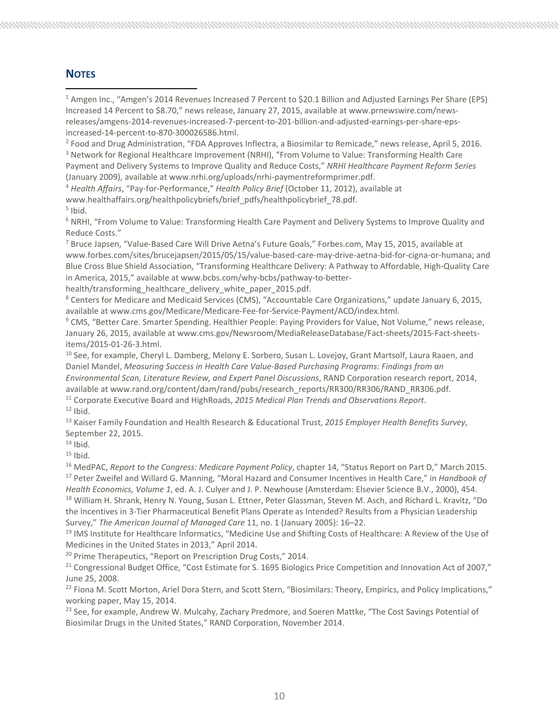#### **NOTES**

<sup>1</sup> Amgen Inc., "Amgen's 2014 Revenues Increased 7 Percent to \$20.1 Billion and Adjusted Earnings Per Share (EPS) Increased 14 Percent to \$8.70," news release, January 27, 2015, available at www.prnewswire.com/news‐ releases/amgens‐2014‐revenues‐increased‐7‐percent‐to‐201‐billion‐and‐adjusted‐earnings‐per‐share‐eps‐ increased‐14‐percent‐to‐870‐300026586.html.

<sup>2</sup> Food and Drug Administration, "FDA Approves Inflectra, a Biosimilar to Remicade," news release, April 5, 2016.

<sup>3</sup> Network for Regional Healthcare Improvement (NRHI), "From Volume to Value: Transforming Health Care Payment and Delivery Systems to Improve Quality and Reduce Costs," *NRHI Healthcare Payment Reform Series* (January 2009), available at www.nrhi.org/uploads/nrhi‐paymentreformprimer.pdf.

<sup>4</sup> *Health Affairs*, "Pay‐for‐Performance," *Health Policy Brief* (October 11, 2012), available at

www.healthaffairs.org/healthpolicybriefs/brief\_pdfs/healthpolicybrief\_78.pdf.  $<sup>5</sup>$  Ibid.</sup>

<sup>6</sup> NRHI, "From Volume to Value: Transforming Health Care Payment and Delivery Systems to Improve Quality and Reduce Costs."

<sup>7</sup> Bruce Japsen, "Value-Based Care Will Drive Aetna's Future Goals," Forbes.com, May 15, 2015, available at www.forbes.com/sites/brucejapsen/2015/05/15/value‐based‐care‐may‐drive‐aetna‐bid‐for‐cigna‐or‐humana; and Blue Cross Blue Shield Association, "Transforming Healthcare Delivery: A Pathway to Affordable, High‐Quality Care in America, 2015," available at www.bcbs.com/why‐bcbs/pathway‐to‐better‐

health/transforming healthcare delivery white paper 2015.pdf.

<sup>8</sup> Centers for Medicare and Medicaid Services (CMS), "Accountable Care Organizations," update January 6, 2015, available at www.cms.gov/Medicare/Medicare‐Fee‐for‐Service‐Payment/ACO/index.html.

<sup>9</sup> CMS, "Better Care. Smarter Spending. Healthier People: Paying Providers for Value, Not Volume," news release, January 26, 2015, available at www.cms.gov/Newsroom/MediaReleaseDatabase/Fact‐sheets/2015‐Fact‐sheets‐ items/2015‐01‐26‐3.html.

<sup>10</sup> See, for example, Cheryl L. Damberg, Melony E. Sorbero, Susan L. Lovejoy, Grant Martsolf, Laura Raaen, and Daniel Mandel, *Measuring Success in Health Care Value‐Based Purchasing Programs: Findings from an Environmental Scan, Literature Review, and Expert Panel Discussions*, RAND Corporation research report, 2014, available at www.rand.org/content/dam/rand/pubs/research\_reports/RR300/RR306/RAND\_RR306.pdf.

<sup>11</sup> Corporate Executive Board and HighRoads, *2015 Medical Plan Trends and Observations Report*.  $12$  Ibid.

<sup>13</sup> Kaiser Family Foundation and Health Research & Educational Trust, *2015 Employer Health Benefits Survey*, September 22, 2015.

 $14$  Ibid.

 $15$  Ibid.

<sup>16</sup> MedPAC, *Report to the Congress: Medicare Payment Policy*, chapter 14, "Status Report on Part D," March 2015. <sup>17</sup> Peter Zweifel and Willard G. Manning, "Moral Hazard and Consumer Incentives in Health Care," in *Handbook of Health Economics, Volume 1*, ed. A. J. Culyer and J. P. Newhouse (Amsterdam: Elsevier Science B.V., 2000), 454. <sup>18</sup> William H. Shrank, Henry N. Young, Susan L. Ettner, Peter Glassman, Steven M. Asch, and Richard L. Kravitz, "Do the Incentives in 3‐Tier Pharmaceutical Benefit Plans Operate as Intended? Results from a Physician Leadership Survey," *The American Journal of Managed Care* 11, no. 1 (January 2005): 16–22.

<sup>19</sup> IMS Institute for Healthcare Informatics, "Medicine Use and Shifting Costs of Healthcare: A Review of the Use of Medicines in the United States in 2013," April 2014.

<sup>20</sup> Prime Therapeutics, "Report on Prescription Drug Costs," 2014.

<sup>21</sup> Congressional Budget Office, "Cost Estimate for S. 1695 Biologics Price Competition and Innovation Act of 2007," June 25, 2008.

<sup>22</sup> Fiona M. Scott Morton, Ariel Dora Stern, and Scott Stern, "Biosimilars: Theory, Empirics, and Policy Implications," working paper, May 15, 2014.

<sup>23</sup> See, for example, Andrew W. Mulcahy, Zachary Predmore, and Soeren Mattke, "The Cost Savings Potential of Biosimilar Drugs in the United States," RAND Corporation, November 2014.